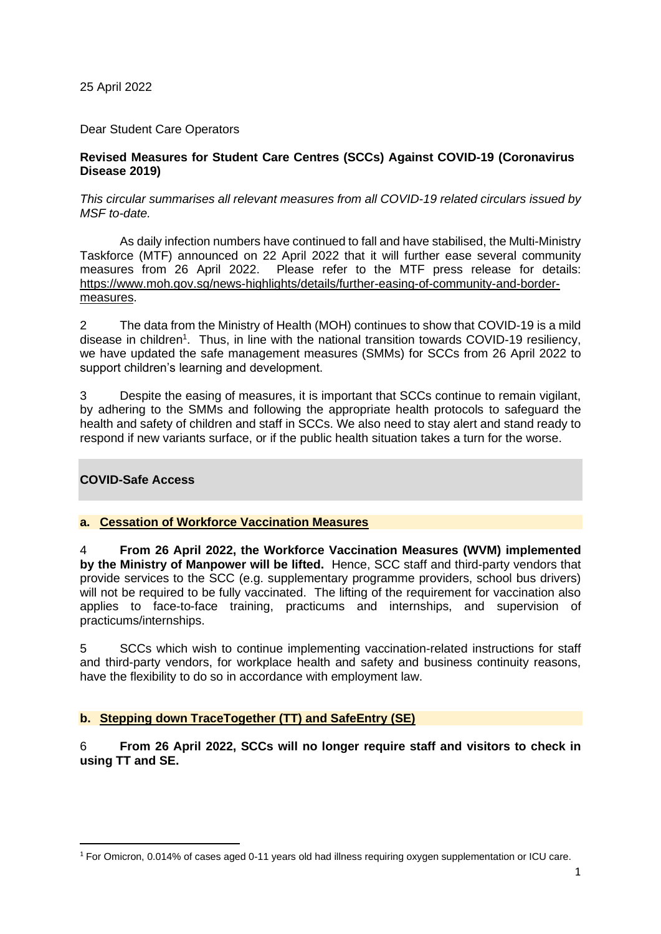25 April 2022

Dear Student Care Operators

# **Revised Measures for Student Care Centres (SCCs) Against COVID-19 (Coronavirus Disease 2019)**

*This circular summarises all relevant measures from all COVID-19 related circulars issued by MSF to-date.* 

As daily infection numbers have continued to fall and have stabilised, the Multi-Ministry Taskforce (MTF) announced on 22 April 2022 that it will further ease several community measures from 26 April 2022. Please refer to the MTF press release for details: [https://www.moh.gov.sg/news-highlights/details/further-easing-of-community-and-border](https://www.moh.gov.sg/news-highlights/details/further-easing-of-community-and-border-measures)[measures.](https://www.moh.gov.sg/news-highlights/details/further-easing-of-community-and-border-measures)

2 The data from the Ministry of Health (MOH) continues to show that COVID-19 is a mild disease in children<sup>1</sup>. Thus, in line with the national transition towards COVID-19 resiliency, we have updated the safe management measures (SMMs) for SCCs from 26 April 2022 to support children's learning and development.

3 Despite the easing of measures, it is important that SCCs continue to remain vigilant, by adhering to the SMMs and following the appropriate health protocols to safeguard the health and safety of children and staff in SCCs. We also need to stay alert and stand ready to respond if new variants surface, or if the public health situation takes a turn for the worse.

# **COVID-Safe Access**

# **a. Cessation of Workforce Vaccination Measures**

4 **From 26 April 2022, the Workforce Vaccination Measures (WVM) implemented by the Ministry of Manpower will be lifted.** Hence, SCC staff and third-party vendors that provide services to the SCC (e.g. supplementary programme providers, school bus drivers) will not be required to be fully vaccinated. The lifting of the requirement for vaccination also applies to face-to-face training, practicums and internships, and supervision of practicums/internships.

5 SCCs which wish to continue implementing vaccination-related instructions for staff and third-party vendors, for workplace health and safety and business continuity reasons, have the flexibility to do so in accordance with employment law.

# **b. Stepping down TraceTogether (TT) and SafeEntry (SE)**

6 **From 26 April 2022, SCCs will no longer require staff and visitors to check in using TT and SE.** 

<sup>1</sup> For Omicron, 0.014% of cases aged 0-11 years old had illness requiring oxygen supplementation or ICU care.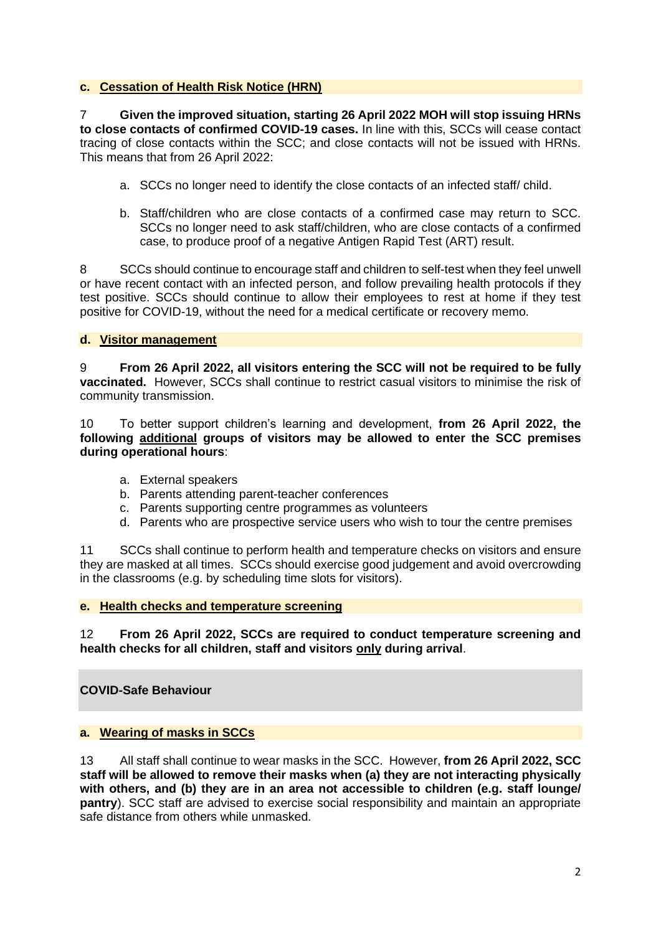#### **c. Cessation of Health Risk Notice (HRN)**

7 **Given the improved situation, starting 26 April 2022 MOH will stop issuing HRNs to close contacts of confirmed COVID-19 cases.** In line with this, SCCs will cease contact tracing of close contacts within the SCC; and close contacts will not be issued with HRNs. This means that from 26 April 2022:

- a. SCCs no longer need to identify the close contacts of an infected staff/ child.
- b. Staff/children who are close contacts of a confirmed case may return to SCC. SCCs no longer need to ask staff/children, who are close contacts of a confirmed case, to produce proof of a negative Antigen Rapid Test (ART) result.

8 SCCs should continue to encourage staff and children to self-test when they feel unwell or have recent contact with an infected person, and follow prevailing health protocols if they test positive. SCCs should continue to allow their employees to rest at home if they test positive for COVID-19, without the need for a medical certificate or recovery memo.

#### **d. Visitor management**

9 **From 26 April 2022, all visitors entering the SCC will not be required to be fully vaccinated.** However, SCCs shall continue to restrict casual visitors to minimise the risk of community transmission.

10 To better support children's learning and development, **from 26 April 2022, the following additional groups of visitors may be allowed to enter the SCC premises during operational hours**:

- a. External speakers
- b. Parents attending parent-teacher conferences
- c. Parents supporting centre programmes as volunteers
- d. Parents who are prospective service users who wish to tour the centre premises

11 SCCs shall continue to perform health and temperature checks on visitors and ensure they are masked at all times. SCCs should exercise good judgement and avoid overcrowding in the classrooms (e.g. by scheduling time slots for visitors).

#### **e. Health checks and temperature screening**

12 **From 26 April 2022, SCCs are required to conduct temperature screening and health checks for all children, staff and visitors only during arrival**.

# **COVID-Safe Behaviour**

# **a. Wearing of masks in SCCs**

13 All staff shall continue to wear masks in the SCC. However, **from 26 April 2022, SCC staff will be allowed to remove their masks when (a) they are not interacting physically with others, and (b) they are in an area not accessible to children (e.g. staff lounge/ pantry**). SCC staff are advised to exercise social responsibility and maintain an appropriate safe distance from others while unmasked.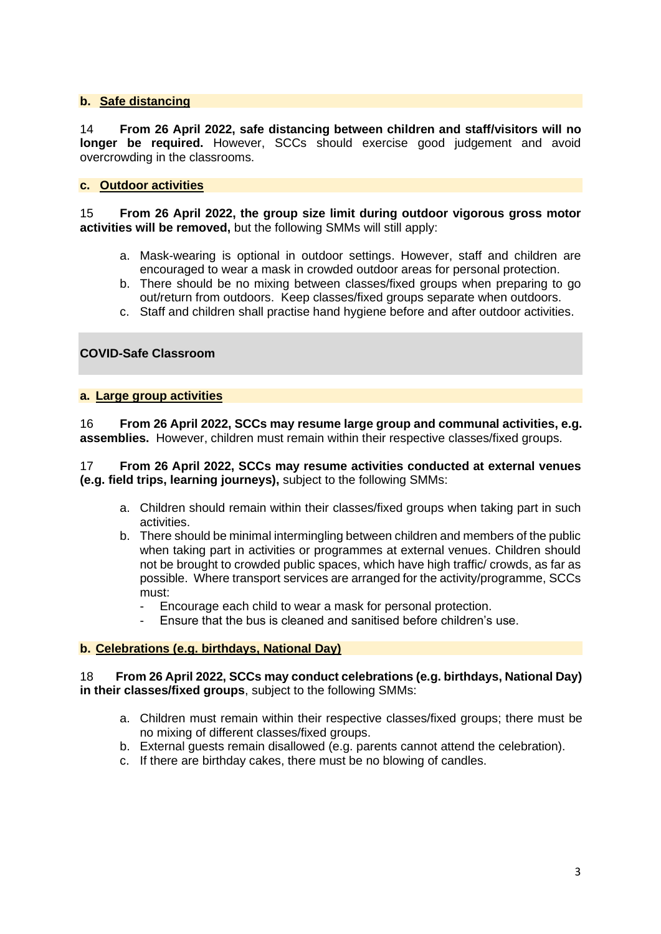# **b. Safe distancing**

14 **From 26 April 2022, safe distancing between children and staff/visitors will no longer be required.** However, SCCs should exercise good judgement and avoid overcrowding in the classrooms.

#### **c. Outdoor activities**

15 **From 26 April 2022, the group size limit during outdoor vigorous gross motor activities will be removed,** but the following SMMs will still apply:

- a. Mask-wearing is optional in outdoor settings. However, staff and children are encouraged to wear a mask in crowded outdoor areas for personal protection.
- b. There should be no mixing between classes/fixed groups when preparing to go out/return from outdoors. Keep classes/fixed groups separate when outdoors.
- c. Staff and children shall practise hand hygiene before and after outdoor activities.

# **COVID-Safe Classroom**

#### **a. Large group activities**

16 **From 26 April 2022, SCCs may resume large group and communal activities, e.g. assemblies.** However, children must remain within their respective classes/fixed groups.

#### 17 **From 26 April 2022, SCCs may resume activities conducted at external venues (e.g. field trips, learning journeys),** subject to the following SMMs:

- a. Children should remain within their classes/fixed groups when taking part in such activities.
- b. There should be minimal intermingling between children and members of the public when taking part in activities or programmes at external venues. Children should not be brought to crowded public spaces, which have high traffic/ crowds, as far as possible. Where transport services are arranged for the activity/programme, SCCs must:
	- Encourage each child to wear a mask for personal protection.
	- Ensure that the bus is cleaned and sanitised before children's use.

#### **b. Celebrations (e.g. birthdays, National Day)**

18 **From 26 April 2022, SCCs may conduct celebrations (e.g. birthdays, National Day) in their classes/fixed groups**, subject to the following SMMs:

- a. Children must remain within their respective classes/fixed groups; there must be no mixing of different classes/fixed groups.
- b. External guests remain disallowed (e.g. parents cannot attend the celebration).
- c. If there are birthday cakes, there must be no blowing of candles.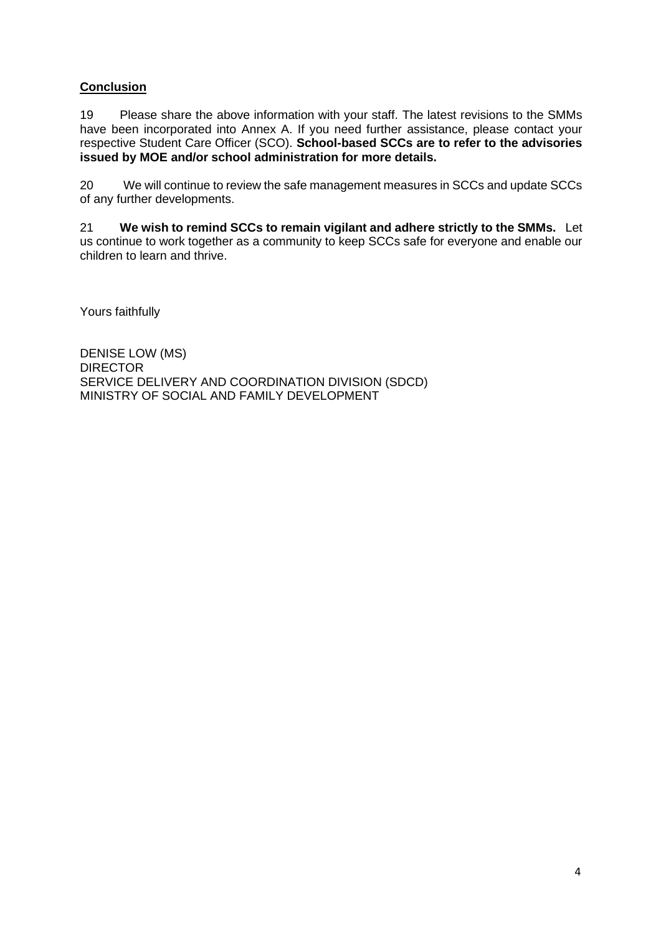# **Conclusion**

19 Please share the above information with your staff. The latest revisions to the SMMs have been incorporated into Annex A. If you need further assistance, please contact your respective Student Care Officer (SCO). **School-based SCCs are to refer to the advisories issued by MOE and/or school administration for more details.**

20 We will continue to review the safe management measures in SCCs and update SCCs of any further developments.

21 **We wish to remind SCCs to remain vigilant and adhere strictly to the SMMs.** Let us continue to work together as a community to keep SCCs safe for everyone and enable our children to learn and thrive.

Yours faithfully

DENISE LOW (MS) DIRECTOR SERVICE DELIVERY AND COORDINATION DIVISION (SDCD) MINISTRY OF SOCIAL AND FAMILY DEVELOPMENT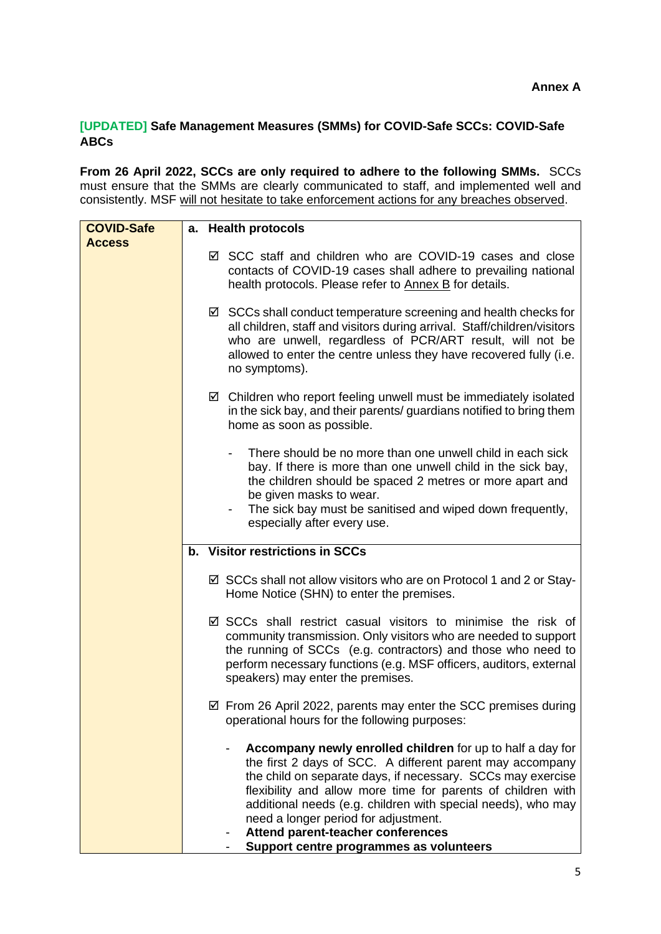# **[UPDATED] Safe Management Measures (SMMs) for COVID-Safe SCCs: COVID-Safe ABCs**

**From 26 April 2022, SCCs are only required to adhere to the following SMMs.** SCCs must ensure that the SMMs are clearly communicated to staff, and implemented well and consistently. MSF will not hesitate to take enforcement actions for any breaches observed.

| <b>COVID-Safe</b>                                                                                                | <b>Health protocols</b><br>a.                                                                                                                                                                                                                                                                                                                                                                                                                  |  |
|------------------------------------------------------------------------------------------------------------------|------------------------------------------------------------------------------------------------------------------------------------------------------------------------------------------------------------------------------------------------------------------------------------------------------------------------------------------------------------------------------------------------------------------------------------------------|--|
| <b>Access</b>                                                                                                    | ☑ SCC staff and children who are COVID-19 cases and close<br>contacts of COVID-19 cases shall adhere to prevailing national<br>health protocols. Please refer to Annex B for details.                                                                                                                                                                                                                                                          |  |
|                                                                                                                  | $\boxtimes$ SCCs shall conduct temperature screening and health checks for<br>all children, staff and visitors during arrival. Staff/children/visitors<br>who are unwell, regardless of PCR/ART result, will not be<br>allowed to enter the centre unless they have recovered fully (i.e.<br>no symptoms).                                                                                                                                     |  |
|                                                                                                                  | ☑ Children who report feeling unwell must be immediately isolated<br>in the sick bay, and their parents/ guardians notified to bring them<br>home as soon as possible.                                                                                                                                                                                                                                                                         |  |
|                                                                                                                  | There should be no more than one unwell child in each sick<br>bay. If there is more than one unwell child in the sick bay,<br>the children should be spaced 2 metres or more apart and<br>be given masks to wear.<br>The sick bay must be sanitised and wiped down frequently,<br>especially after every use.                                                                                                                                  |  |
|                                                                                                                  | b. Visitor restrictions in SCCs                                                                                                                                                                                                                                                                                                                                                                                                                |  |
| ☑ SCCs shall not allow visitors who are on Protocol 1 and 2 or Stay-<br>Home Notice (SHN) to enter the premises. |                                                                                                                                                                                                                                                                                                                                                                                                                                                |  |
|                                                                                                                  | ☑ SCCs shall restrict casual visitors to minimise the risk of<br>community transmission. Only visitors who are needed to support<br>the running of SCCs (e.g. contractors) and those who need to<br>perform necessary functions (e.g. MSF officers, auditors, external<br>speakers) may enter the premises.                                                                                                                                    |  |
|                                                                                                                  | $\boxtimes$ From 26 April 2022, parents may enter the SCC premises during<br>operational hours for the following purposes:                                                                                                                                                                                                                                                                                                                     |  |
|                                                                                                                  | Accompany newly enrolled children for up to half a day for<br>the first 2 days of SCC. A different parent may accompany<br>the child on separate days, if necessary. SCCs may exercise<br>flexibility and allow more time for parents of children with<br>additional needs (e.g. children with special needs), who may<br>need a longer period for adjustment.<br>Attend parent-teacher conferences<br>Support centre programmes as volunteers |  |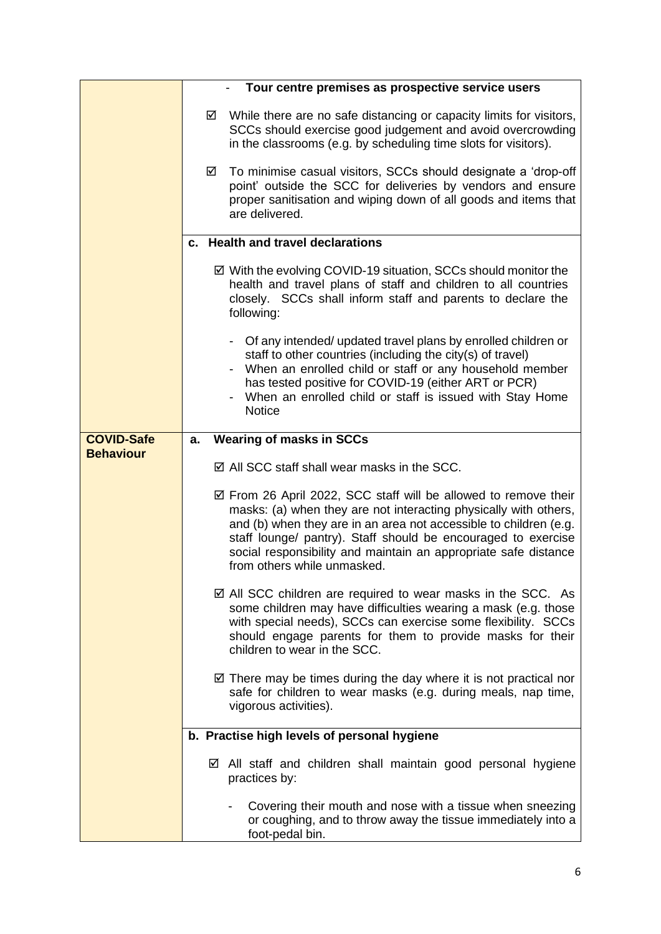|                   | Tour centre premises as prospective service users                                                                                                                                                                                                                                                                                                                           |  |  |  |
|-------------------|-----------------------------------------------------------------------------------------------------------------------------------------------------------------------------------------------------------------------------------------------------------------------------------------------------------------------------------------------------------------------------|--|--|--|
|                   | While there are no safe distancing or capacity limits for visitors,<br>☑<br>SCCs should exercise good judgement and avoid overcrowding<br>in the classrooms (e.g. by scheduling time slots for visitors).                                                                                                                                                                   |  |  |  |
|                   | To minimise casual visitors, SCCs should designate a 'drop-off<br>☑<br>point' outside the SCC for deliveries by vendors and ensure<br>proper sanitisation and wiping down of all goods and items that<br>are delivered.                                                                                                                                                     |  |  |  |
|                   | <b>Health and travel declarations</b><br>C.                                                                                                                                                                                                                                                                                                                                 |  |  |  |
|                   | $\boxtimes$ With the evolving COVID-19 situation, SCCs should monitor the<br>health and travel plans of staff and children to all countries<br>closely. SCCs shall inform staff and parents to declare the<br>following:                                                                                                                                                    |  |  |  |
|                   | - Of any intended/ updated travel plans by enrolled children or<br>staff to other countries (including the city(s) of travel)<br>When an enrolled child or staff or any household member<br>has tested positive for COVID-19 (either ART or PCR)<br>When an enrolled child or staff is issued with Stay Home<br><b>Notice</b>                                               |  |  |  |
| <b>COVID-Safe</b> | <b>Wearing of masks in SCCs</b><br>a.                                                                                                                                                                                                                                                                                                                                       |  |  |  |
| <b>Behaviour</b>  | $\boxtimes$ All SCC staff shall wear masks in the SCC.                                                                                                                                                                                                                                                                                                                      |  |  |  |
|                   | ☑ From 26 April 2022, SCC staff will be allowed to remove their<br>masks: (a) when they are not interacting physically with others,<br>and (b) when they are in an area not accessible to children (e.g.<br>staff lounge/ pantry). Staff should be encouraged to exercise<br>social responsibility and maintain an appropriate safe distance<br>from others while unmasked. |  |  |  |
|                   | $\boxtimes$ All SCC children are required to wear masks in the SCC. As<br>some children may have difficulties wearing a mask (e.g. those<br>with special needs), SCCs can exercise some flexibility. SCCs<br>should engage parents for them to provide masks for their<br>children to wear in the SCC.                                                                      |  |  |  |
|                   | $\boxtimes$ There may be times during the day where it is not practical nor<br>safe for children to wear masks (e.g. during meals, nap time,<br>vigorous activities).                                                                                                                                                                                                       |  |  |  |
|                   | b. Practise high levels of personal hygiene                                                                                                                                                                                                                                                                                                                                 |  |  |  |
|                   | $\boxtimes$ All staff and children shall maintain good personal hygiene<br>practices by:                                                                                                                                                                                                                                                                                    |  |  |  |
|                   | Covering their mouth and nose with a tissue when sneezing<br>or coughing, and to throw away the tissue immediately into a<br>foot-pedal bin.                                                                                                                                                                                                                                |  |  |  |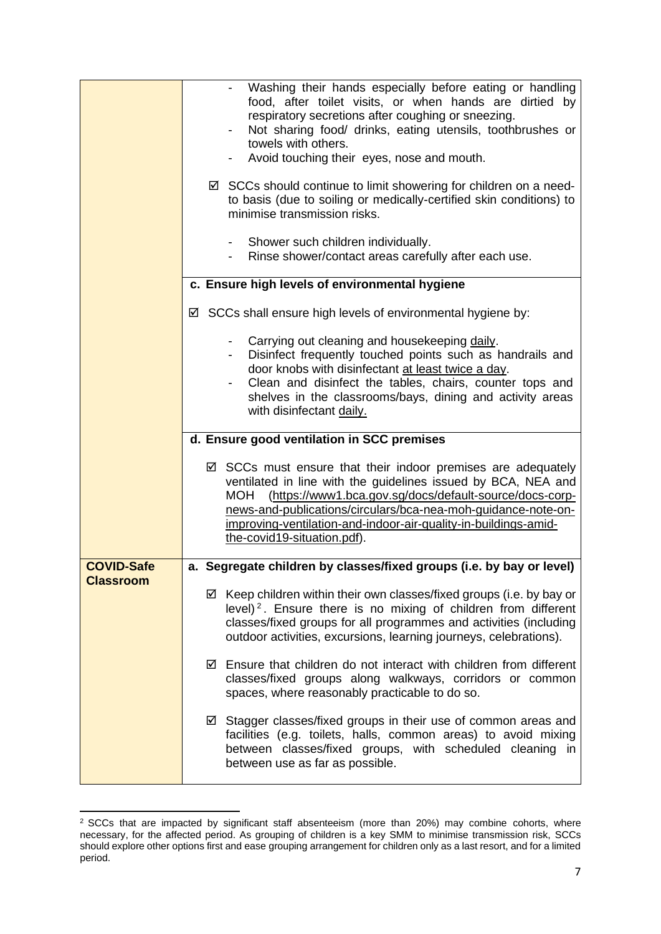|                                       | Washing their hands especially before eating or handling<br>food, after toilet visits, or when hands are dirtied by<br>respiratory secretions after coughing or sneezing.<br>Not sharing food/ drinks, eating utensils, toothbrushes or<br>towels with others.<br>Avoid touching their eyes, nose and mouth.<br>$\boxtimes$ SCCs should continue to limit showering for children on a need-<br>to basis (due to soiling or medically-certified skin conditions) to<br>minimise transmission risks.<br>- Shower such children individually.<br>Rinse shower/contact areas carefully after each use. |  |  |  |
|---------------------------------------|----------------------------------------------------------------------------------------------------------------------------------------------------------------------------------------------------------------------------------------------------------------------------------------------------------------------------------------------------------------------------------------------------------------------------------------------------------------------------------------------------------------------------------------------------------------------------------------------------|--|--|--|
|                                       | c. Ensure high levels of environmental hygiene                                                                                                                                                                                                                                                                                                                                                                                                                                                                                                                                                     |  |  |  |
|                                       | ☑ SCCs shall ensure high levels of environmental hygiene by:                                                                                                                                                                                                                                                                                                                                                                                                                                                                                                                                       |  |  |  |
|                                       | Carrying out cleaning and housekeeping daily.<br>$\blacksquare$<br>Disinfect frequently touched points such as handrails and<br>door knobs with disinfectant at least twice a day.<br>Clean and disinfect the tables, chairs, counter tops and<br>shelves in the classrooms/bays, dining and activity areas<br>with disinfectant daily.                                                                                                                                                                                                                                                            |  |  |  |
|                                       | d. Ensure good ventilation in SCC premises                                                                                                                                                                                                                                                                                                                                                                                                                                                                                                                                                         |  |  |  |
|                                       | $\boxtimes$ SCCs must ensure that their indoor premises are adequately<br>ventilated in line with the guidelines issued by BCA, NEA and<br>MOH (https://www1.bca.gov.sg/docs/default-source/docs-corp-<br>news-and-publications/circulars/bca-nea-moh-guidance-note-on-<br>improving-ventilation-and-indoor-air-quality-in-buildings-amid-<br>the-covid19-situation.pdf).                                                                                                                                                                                                                          |  |  |  |
| <b>COVID-Safe</b><br><b>Classroom</b> | a. Segregate children by classes/fixed groups (i.e. by bay or level)                                                                                                                                                                                                                                                                                                                                                                                                                                                                                                                               |  |  |  |
|                                       | $\boxtimes$ Keep children within their own classes/fixed groups (i.e. by bay or<br>level) <sup>2</sup> . Ensure there is no mixing of children from different<br>classes/fixed groups for all programmes and activities (including<br>outdoor activities, excursions, learning journeys, celebrations).                                                                                                                                                                                                                                                                                            |  |  |  |
|                                       | $\boxtimes$ Ensure that children do not interact with children from different<br>classes/fixed groups along walkways, corridors or common<br>spaces, where reasonably practicable to do so.                                                                                                                                                                                                                                                                                                                                                                                                        |  |  |  |
|                                       | $\boxtimes$ Stagger classes/fixed groups in their use of common areas and<br>facilities (e.g. toilets, halls, common areas) to avoid mixing<br>between classes/fixed groups, with scheduled cleaning in<br>between use as far as possible.                                                                                                                                                                                                                                                                                                                                                         |  |  |  |

 $2$  SCCs that are impacted by significant staff absenteeism (more than 20%) may combine cohorts, where necessary, for the affected period. As grouping of children is a key SMM to minimise transmission risk, SCCs should explore other options first and ease grouping arrangement for children only as a last resort, and for a limited period.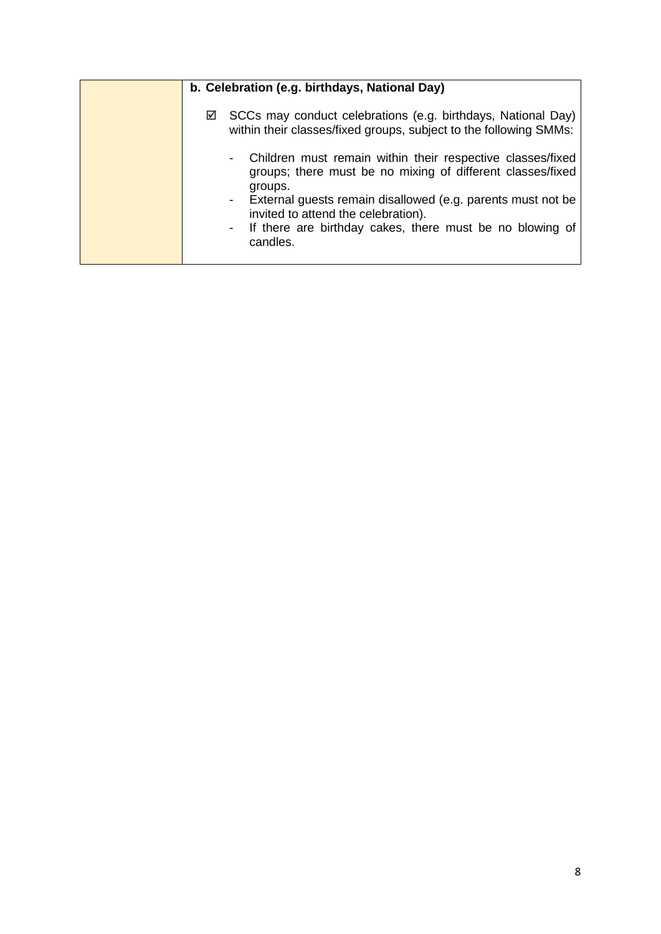| b. Celebration (e.g. birthdays, National Day) |                                                                                                                                                                                                                                                                                                                            |  |
|-----------------------------------------------|----------------------------------------------------------------------------------------------------------------------------------------------------------------------------------------------------------------------------------------------------------------------------------------------------------------------------|--|
| ☑                                             | SCCs may conduct celebrations (e.g. birthdays, National Day)<br>within their classes/fixed groups, subject to the following SMMs:                                                                                                                                                                                          |  |
|                                               | Children must remain within their respective classes/fixed<br>۰<br>groups; there must be no mixing of different classes/fixed<br>groups.<br>- External guests remain disallowed (e.g. parents must not be<br>invited to attend the celebration).<br>- If there are birthday cakes, there must be no blowing of<br>candles. |  |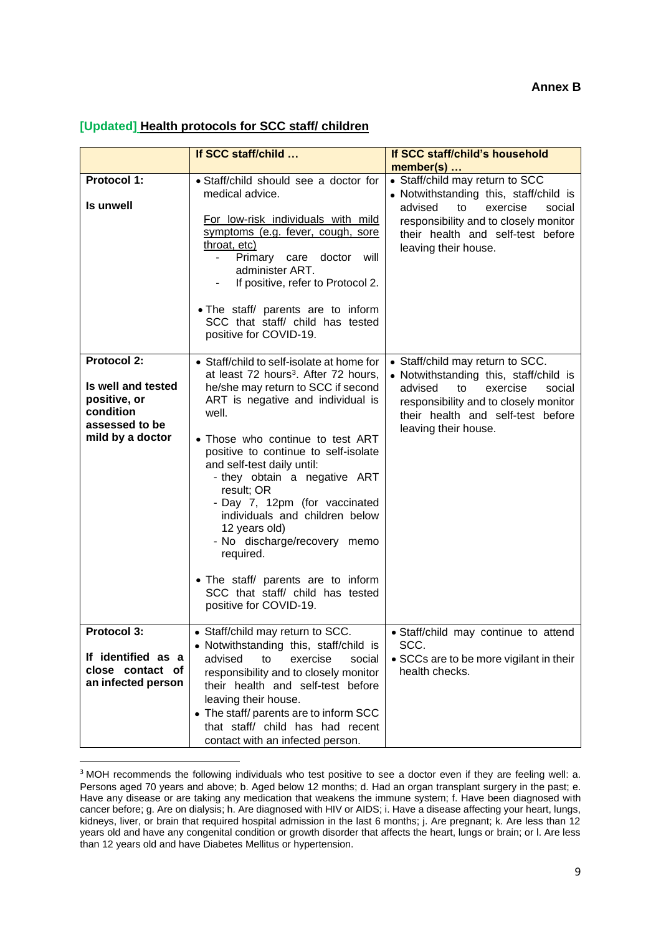#### **[Updated] Health protocols for SCC staff/ children**

|                                                                                                      | If SCC staff/child                                                                                                                                                                                                                                                                                                                                                                                                                                                                                                                                                             | If SCC staff/child's household<br>member(s)                                                                                                                                                                             |
|------------------------------------------------------------------------------------------------------|--------------------------------------------------------------------------------------------------------------------------------------------------------------------------------------------------------------------------------------------------------------------------------------------------------------------------------------------------------------------------------------------------------------------------------------------------------------------------------------------------------------------------------------------------------------------------------|-------------------------------------------------------------------------------------------------------------------------------------------------------------------------------------------------------------------------|
| <b>Protocol 1:</b><br>Is unwell                                                                      | • Staff/child should see a doctor for<br>medical advice.<br>For low-risk individuals with mild<br>symptoms (e.g. fever, cough, sore<br>throat, etc)<br>Primary care doctor<br>will<br>administer ART.<br>If positive, refer to Protocol 2.<br>• The staff/ parents are to inform<br>SCC that staff/ child has tested<br>positive for COVID-19.                                                                                                                                                                                                                                 | • Staff/child may return to SCC<br>• Notwithstanding this, staff/child is<br>advised<br>to<br>exercise<br>social<br>responsibility and to closely monitor<br>their health and self-test before<br>leaving their house.  |
| Protocol 2:<br>Is well and tested<br>positive, or<br>condition<br>assessed to be<br>mild by a doctor | • Staff/child to self-isolate at home for<br>at least 72 hours <sup>3</sup> . After 72 hours,<br>he/she may return to SCC if second<br>ART is negative and individual is<br>well.<br>• Those who continue to test ART<br>positive to continue to self-isolate<br>and self-test daily until:<br>- they obtain a negative ART<br>result; OR<br>- Day 7, 12pm (for vaccinated<br>individuals and children below<br>12 years old)<br>- No discharge/recovery memo<br>required.<br>• The staff/ parents are to inform<br>SCC that staff/ child has tested<br>positive for COVID-19. | • Staff/child may return to SCC.<br>• Notwithstanding this, staff/child is<br>advised<br>to<br>exercise<br>social<br>responsibility and to closely monitor<br>their health and self-test before<br>leaving their house. |
| <b>Protocol 3:</b><br>If identified as a<br>close contact of<br>an infected person                   | • Staff/child may return to SCC.<br>• Notwithstanding this, staff/child is<br>advised<br>exercise<br>social<br>to<br>responsibility and to closely monitor<br>their health and self-test before<br>leaving their house.<br>• The staff/ parents are to inform SCC<br>that staff/ child has had recent<br>contact with an infected person.                                                                                                                                                                                                                                      | • Staff/child may continue to attend<br>SCC.<br>• SCCs are to be more vigilant in their<br>health checks.                                                                                                               |

<sup>&</sup>lt;sup>3</sup> MOH recommends the following individuals who test positive to see a doctor even if they are feeling well: a. Persons aged 70 years and above; b. Aged below 12 months; d. Had an organ transplant surgery in the past; e. Have any disease or are taking any medication that weakens the immune system; f. Have been diagnosed with cancer before; g. Are on dialysis; h. Are diagnosed with HIV or AIDS; i. Have a disease affecting your heart, lungs, kidneys, liver, or brain that required hospital admission in the last 6 months; j. Are pregnant; k. Are less than 12 years old and have any congenital condition or growth disorder that affects the heart, lungs or brain; or l. Are less than 12 years old and have Diabetes Mellitus or hypertension.